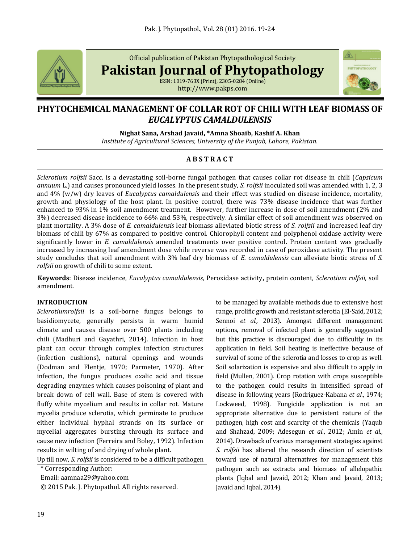

Official publication of Pakistan Phytopathological Society

**Pakistan Journal of Phytopathology**

ISSN: 1019-763X (Print), 2305-0284 (Online) http://www.pakps.com



# **PHYTOCHEMICAL MANAGEMENT OF COLLAR ROT OF CHILI WITH LEAF BIOMASS OF**  *EUCALYPTUS CAMALDULENSIS*

# **Nighat Sana, Arshad Javaid, \*Amna Shoaib, Kashif A. Khan**

*Institute of Agricultural Sciences, University of the Punjab, Lahore, Pakistan.*

# **A B S T R A C T**

*Sclerotium rolfsii* Sacc. is a devastating soil-borne fungal pathogen that causes collar rot disease in chili (*Capsicum annuum* L.) and causes pronounced yield losses. In the present study, *S. rolfsii* inoculated soil was amended with 1, 2, 3 and 4% (w/w) dry leaves of *Eucalyptus camaldulensis* and their effect was studied on disease incidence, mortality, growth and physiology of the host plant. In positive control, there was 73% disease incidence that was further enhanced to 93% in 1% soil amendment treatment*.* However, further increase in dose of soil amendment (2% and 3%) decreased disease incidence to 66% and 53%, respectively. A similar effect of soil amendment was observed on plant mortality. A 3% dose of *E. camaldulensis* leaf biomass alleviated biotic stress of *S. rolfsii* and increased leaf dry biomass of chili by 67% as compared to positive control. Chlorophyll content and polyphenol oxidase activity were significantly lower in *E. camaldulensis* amended treatments over positive control. Protein content was gradually increased by increasing leaf amendment dose while reverse was recorded in case of peroxidase activity. The present study concludes that soil amendment with 3% leaf dry biomass of *E. camaldulensis* can alleviate biotic stress of *S. rolfsii* on growth of chili to some extent.

**Keywords**: Disease incidence, *Eucalyptus camaldulensis,* Peroxidase activity**,** protein content, *Sclerotium rolfsii,* soil amendment.

# **INTRODUCTION**

*Sclerotiumrolfsii* is a soil-borne fungus belongs to basidiomycete, generally persists in warm humid climate and causes disease over 500 plants including chili (Madhuri and Gayathri, 2014). Infection in host plant can occur through complex infection structures (infection cushions), natural openings and wounds (Dodman and Flentje, 1970; Parmeter, 1970). After infection, the fungus produces oxalic acid and tissue degrading enzymes which causes poisoning of plant and break down of cell wall. Base of stem is covered with fluffy white mycelium and results in collar rot. Mature mycelia produce sclerotia, which germinate to produce either individual hyphal strands on its surface or mycelial aggregates bursting through its surface and cause new infection (Ferreira and Boley, 1992). Infection results in wilting of and drying of whole plant.

Up till now, *S. rolfsii* is considered to be a difficult pathogen

\* Corresponding Author:

Email: aamnaa29@yahoo.com

© 2015 Pak. J. Phytopathol. All rights reserved.

to be managed by available methods due to extensive host range, prolific growth and resistant sclerotia (El-Said, 2012; Sennoi *et al.,* 2013). Amongst different management options, removal of infected plant is generally suggested but this practice is discouraged due to difficultly in its application in field. Soil heating is ineffective because of survival of some of the sclerotia and losses to crop as well. Soil solarization is expensive and also difficult to apply in field (Mullen, 2001). Crop rotation with crops susceptible to the pathogen could results in intensified spread of disease in following years (Rodriguez-Kabana *et al*., 1974; Lockweed, 1998). Fungicide application is not an appropriate alternative due to persistent nature of the pathogen, high cost and scarcity of the chemicals (Yaqub and Shahzad, 2009; Adesegun *et al*., 2012; Amin *et al*., 2014). Drawback of various management strategies against *S. rolfsii* has altered the research direction of scientists toward use of natural alternatives for management this pathogen such as extracts and biomass of allelopathic plants (Iqbal and Javaid, 2012; Khan and Javaid, 2013; Javaid and Iqbal, 2014).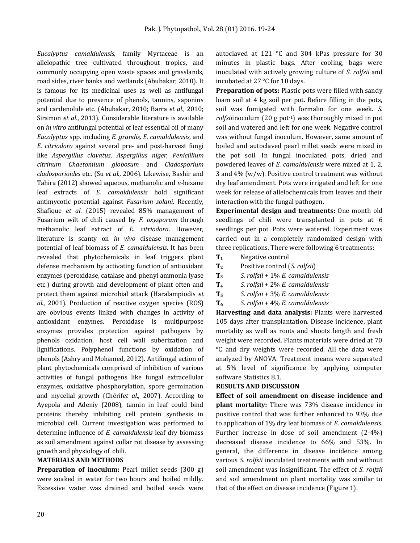*Eucalyptus camaldulensis,* family Myrtaceae is an allelopathic tree cultivated throughout tropics, and commonly occupying open waste spaces and grasslands, road sides, river banks and wetlands (Abubakar, 2010). It is famous for its medicinal uses as well as antifungal potential due to presence of phenols, tannins, saponins and cardenolide etc. (Abubakar, 2010; Barra *et al*., 2010; Siramon *et al*., 2013). Considerable literature is available on *in vitro* antifungal potential of leaf essential oil of many *Eucalyptus* spp. including *E. grandis, E. camaldulensis*, and *E. citriodora* against several pre- and post-harvest fungi like *Aspergillus clavatus*, *Aspergillus niger, Penicillium citrinum Chaetomium globosum* and *Cladosporium cladosporioides* etc. (Su *et al*., 2006). Likewise, Bashir and Tahira (2012) showed aqueous, methanolic and *n-*hexane leaf extracts of *E. camaldulensis* hold significant antimycotic potential against *Fusarium solani*. Recently, Shafique *et al*. (2015) revealed 85% management of Fusarium wilt of chili caused by *F. oxysporum* through methanolic leaf extract of *E. citriodora*. However, literature is scanty on *in vivo* disease management potential of leaf biomass of *E. camaldulensis*. It has been revealed that phytochemicals in leaf triggers plant defense mechanism by activating function of antioxidant enzymes (peroxidase, catalase and phenyl ammonia lyase etc.) during growth and development of plant often and protect them against microbial attack (Haralampiodis *et al*., 2001). Production of reactive oxygen species (ROS) are obvious events linked with changes in activity of antioxidant enzymes. Peroxidase is multipurpose enzymes provides protection against pathogens by phenols oxidation, host cell wall suberization and lignifications. Polyphenol functions by oxidation of phenols (Ashry and Mohamed, 2012). Antifungal action of plant phytochemicals comprised of inhibition of various activities of fungal pathogens like fungal extracellular enzymes, oxidative phosphorylation, spore germination and mycelial growth (Chérif*et al*., 2007). According to Ayepola and Adeniy (2008), tannin in leaf could bind proteins thereby inhibiting cell protein synthesis in microbial cell. Current investigation was performed to determine influence of *E. camaldulensis* leaf dry biomass as soil amendment against collar rot disease by assessing growth and physiology of chili.

#### **MATERIALS AND METHODS**

**Preparation of inoculum:** Pearl millet seeds (300 g) were soaked in water for two hours and boiled mildly. Excessive water was drained and boiled seeds were autoclaved at 121 °C and 304 kPas pressure for 30 minutes in plastic bags. After cooling, bags were inoculated with actively growing culture of *S. rolfsii* and incubated at 27 °C for 10 days.

**Preparation of pots:** Plastic pots were filled with sandy loam soil at 4 kg soil per pot. Before filling in the pots, soil was fumigated with formalin for one week. *S. rolfsiiinoculum* (20 g pot<sup>-1</sup>) was thoroughly mixed in pot soil and watered and left for one week. Negative control was without fungal inoculum. However, same amount of boiled and autoclaved pearl millet seeds were mixed in the pot soil. In fungal inoculated pots, dried and powdered leaves of *E. camaldulensis* were mixed at 1, 2, 3 and 4% (w/w). Positive control treatment was without dry leaf amendment. Pots were irrigated and left for one week for release of allelochemicals from leaves and their interaction with the fungal pathogen.

**Experimental design and treatments:** One month old seedlings of chili were transplanted in pots at 6 seedlings per pot. Pots were watered. Experiment was carried out in a completely randomized design with three replications. There were following 6 treatments:

- **T<sup>1</sup>** Negative control
- **T<sup>2</sup>** Positive control (*S. rolfsii*)
- **T<sup>3</sup>** *S. rolfsii* + 1% *E. camaldulensis*
- **T<sup>4</sup>** *S. rolfsii* + 2% *E. camaldulensis*
- **T<sup>5</sup>** *S. rolfsii* + 3% *E. camaldulensis*
- **T<sup>6</sup>** *S. rolfsii* + 4% *E. camaldulensis*

**Harvesting and data analysis:** Plants were harvested 105 days after transplantation. Disease incidence, plant mortality as well as roots and shoots length and fresh weight were recorded. Plants materials were dried at 70 °C and dry weights were recorded. All the data were analyzed by ANOVA. Treatment means were separated at 5% level of significance by applying computer software Statistics 8.1.

#### **RESULTS AND DISCUSSION**

**Effect of soil amendment on disease incidence and plant mortality:** There was 73% disease incidence in positive control that was further enhanced to 93% due to application of 1% dry leaf biomass of *E. camaldulensis.*  Further increase in dose of soil amendment (2-4%) decreased disease incidence to 66% and 53%. In general, the difference in disease incidence among various *S. rolfsii* inoculated treatments with and without soil amendment was insignificant. The effect of *S. rolfsii* and soil amendment on plant mortality was similar to that of the effect on disease incidence (Figure 1).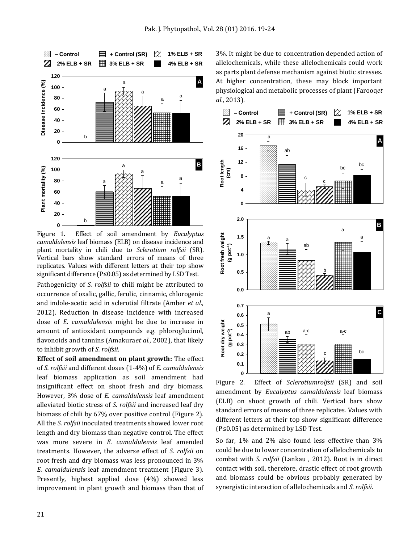

Figure 1. Effect of soil amendment by *Eucalyptus camaldulensis* leaf biomass (ELB) on disease incidence and plant mortality in chili due to *Sclerotium rolfsii* (SR). Vertical bars show standard errors of means of three replicates. Values with different letters at their top show significant difference (P≤0.05) as determined by LSD Test.

Pathogenicity of *S. rolfsii* to chili might be attributed to occurrence of oxalic, gallic, ferulic, cinnamic, chlorogenic and indole-acetic acid in sclerotial filtrate (Amber *et al*., 2012). Reduction in disease incidence with increased dose of *E. camaldulensis* might be due to increase in amount of antioxidant compounds e.g. phloroglucinol, flavonoids and tannins (Amakura*et al*., 2002), that likely to inhibit growth of *S. rolfsii*.

**Effect of soil amendment on plant growth:** The effect of *S. rolfsii* and different doses (1-4%) of *E. camaldulensis* leaf biomass application as soil amendment had insignificant effect on shoot fresh and dry biomass. However, 3% dose of *E. camaldulensis* leaf amendment alleviated biotic stress of *S. rolfsii* and increased leaf dry biomass of chili by 67% over positive control (Figure 2). All the *S. rolfsii* inoculated treatments showed lower root length and dry biomass than negative control. The effect was more severe in *E. camaldulensis* leaf amended treatments. However, the adverse effect of *S. rolfsii* on root fresh and dry biomass was less pronounced in 3% *E. camaldulensis* leaf amendment treatment (Figure 3). Presently, highest applied dose (4%) showed less improvement in plant growth and biomass than that of 3%. It might be due to concentration depended action of allelochemicals, while these allelochemicals could work as parts plant defense mechanism against biotic stresses. At higher concentration, these may block important physiological and metabolic processes of plant (Farooq*et al*., 2013).



Figure 2. Effect of *Sclerotiumrolfsii* (SR) and soil amendment by *Eucalyptus camaldulensis* leaf biomass (ELB) on shoot growth of chili. Vertical bars show standard errors of means of three replicates. Values with different letters at their top show significant difference (P≤0.05) as determined by LSD Test.

So far, 1% and 2% also found less effective than 3% could be due to lower concentration of allelochemicals to combat with *S. rolfsii* (Lankau , 2012). Root is in direct contact with soil, therefore, drastic effect of root growth and biomass could be obvious probably generated by synergistic interaction of allelochemicals and *S. rolfsii.*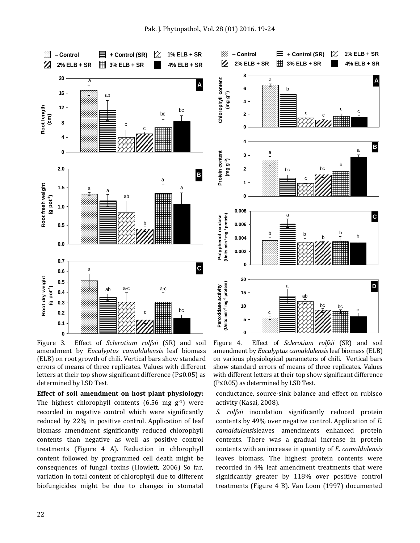**Chlorophyll content (mg g-1 )**

Chlorophyll content

83. Z

**Protein content (mg g-1 )**

Protein content

**Polyphenol oxidase (Units min-1 mg-1 protein)**

(Units min<sup>-1</sup> mg<sup>-1</sup> protein) Polyphenol oxidase



Peroxidase activity<br>Units min<sup>-1</sup> mg<sup>-1</sup> protein) **(Units min-1 mg-1 protein)Peroxidase activity 15** ab **10** bc bc c c **5 0** Figure 4. Effect of *Sclerotium rolfsii* (SR) and soil amendment by *Eucalyptus camaldulensis* leaf biomass (ELB) on various physiological parameters of chili. Vertical bars show standard errors of means of three replicates. Values

**‒ Control + Control (SR) 1% ELB + SR 2% ELB + SR 3% ELB + SR 4% ELB + SR**

c

c

b

b

bc

a

a

**4**

**0 1**

**0 0.002 0.004 0.006 0.008**

**20**

**2 3** a

b

a **A**

c

bc

b

c

b

b

c

a

b

**B**

**C**

**D**

Figure 3. Effect of *Sclerotium rolfsii* (SR) and soil amendment by *Eucalyptus camaldulensis* leaf biomass (ELB) on root growth of chili. Vertical bars show standard errors of means of three replicates. Values with different letters at their top show significant difference (P≤0.05) as determined by LSD Test.

**Effect of soil amendment on host plant physiology:**  The highest chlorophyll contents  $(6.56 \text{ mg g}^{-1})$  were recorded in negative control which were significantly reduced by 22% in positive control. Application of leaf biomass amendment significantly reduced chlorophyll contents than negative as well as positive control treatments (Figure 4 A). Reduction in chlorophyll content followed by programmed cell death might be consequences of fungal toxins (Howlett, 2006) So far, variation in total content of chlorophyll due to different biofungicides might be due to changes in stomatal

conductance, source-sink balance and effect on rubisco activity (Kasai, 2008).

with different letters at their top show significant difference

(P≤0.05) as determined by LSD Test.

*S. rolfsii* inoculation significantly reduced protein contents by 49% over negative control. Application of *E. camaldulensis*leaves amendments enhanced protein contents. There was a gradual increase in protein contents with an increase in quantity of *E. camaldulensis* leaves biomass. The highest protein contents were recorded in 4% leaf amendment treatments that were significantly greater by 118% over positive control treatments (Figure 4 B). Van Loon (1997) documented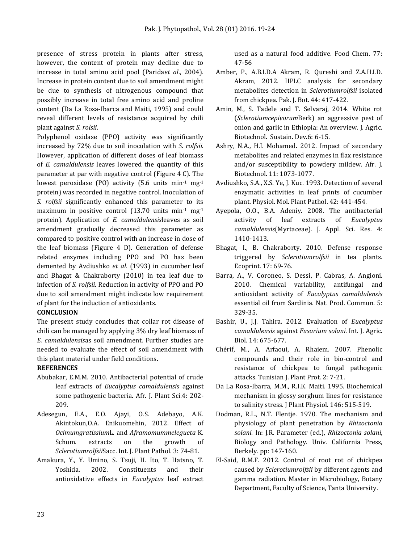presence of stress protein in plants after stress, however, the content of protein may decline due to increase in total amino acid pool (Parida*et al*., 2004). Increase in protein content due to soil amendment might be due to synthesis of nitrogenous compound that possibly increase in total free amino acid and proline content (Da La Rosa-Ibarca and Maiti, 1995) and could reveal different levels of resistance acquired by chili plant against *S. rolsii*.

Polyphenol oxidase (PPO) activity was significantly increased by 72% due to soil inoculation with *S. rolfsii.*  However, application of different doses of leaf biomass of *E. camaldulensis* leaves lowered the quantity of this parameter at par with negative control (Figure 4 C). The lowest peroxidase (PO) activity (5.6 units min<sup>-1</sup> mg<sup>-1</sup> protein) was recorded in negative control. Inoculation of *S. rolfsii* significantly enhanced this parameter to its maximum in positive control  $(13.70 \text{ units min}^{-1} \text{ mg}^{-1})$ protein). Application of *E. camaldulensis*leaves as soil amendment gradually decreased this parameter as compared to positive control with an increase in dose of the leaf biomass (Figure 4 D). Generation of defense related enzymes including PPO and PO has been demented by Avdiushko *et al*. (1993) in cucumber leaf and Bhagat & Chakraborty (2010) in tea leaf due to infection of *S. rolfsii*. Reduction in activity of PPO and PO due to soil amendment might indicate low requirement of plant for the induction of antioxidants.

# **CONCLUSION**

The present study concludes that collar rot disease of chili can be managed by applying 3% dry leaf biomass of *E. camaldulensis*as soil amendment. Further studies are needed to evaluate the effect of soil amendment with this plant material under field conditions.

# **REFERENCES**

- Abubakar, E.M.M. 2010. Antibacterial potential of crude leaf extracts of *Eucalyptus camaldulensis* against some pathogenic bacteria. Afr. J. Plant Sci.4: 202- 209.
- Adesegun, E.A., E.O. Ajayi, O.S. Adebayo, A.K. Akintokun,O.A. Enikuomehin, 2012. Effect of *Ocimumgratissium*L. and *Aframomummelegueta* K. Schum. extracts on the growth of *Sclerotiumrolfsii*Sacc. Int. J. Plant Pathol. 3: 74-81.
- Amakura, Y., Y. Umino, S. Tsuji, H. Ito, T. Hatsno, T. Yoshida. 2002. Constituents and their antioxidative effects in *Eucalyptus* leaf extract

used as a natural food additive. Food Chem. 77: 47-56

- Amber, P., A.B.I.D.A Akram, R. Qureshi and Z.A.H.I.D. Akram, 2012. HPLC analysis for secondary metabolites detection in *Sclerotiumrolfsii* isolated from chickpea. Pak. J. Bot. 44: 417-422.
- Amin, M., S. Tadele and T. Selvaraj, 2014. White rot (*Sclerotiumcepivorum*Berk) an aggressive pest of onion and garlic in Ethiopia: An overview. J. Agric. Biotechnol. Sustain. Dev.6: 6-15.
- Ashry, N.A., H.I. Mohamed. 2012. Impact of secondary metabolites and related enzymes in flax resistance and/or susceptibility to powdery mildew. Afr. J. Biotechnol. 11: 1073-1077.
- Avdiushko, S.A., X.S. Ye, J. Kuc. 1993. Detection of several enzymatic activities in leaf prints of cucumber plant. Physiol. Mol. Plant Pathol. 42: 441-454.
- Ayepola, O.O., B.A. Adeniy. 2008. The antibacterial activity of leaf extracts of *Eucalyptus camaldulensis*(Myrtaceae). J. Appl. Sci. Res. 4: 1410-1413.
- Bhagat, I., B. Chakraborty. 2010. Defense response triggered by *Sclerotiumrolfsii* in tea plants. Ecoprint. 17: 69-76.
- [Barra, A.,](http://www.ncbi.nlm.nih.gov/pubmed/?term=Barra%20A%5BAuthor%5D&cauthor=true&cauthor_uid=20334153) V. [Coroneo,](http://www.ncbi.nlm.nih.gov/pubmed/?term=Coroneo%20V%5BAuthor%5D&cauthor=true&cauthor_uid=20334153) S. [Dessi,](http://www.ncbi.nlm.nih.gov/pubmed/?term=Dessi%20S%5BAuthor%5D&cauthor=true&cauthor_uid=20334153) P. [Cabras, A.](http://www.ncbi.nlm.nih.gov/pubmed/?term=Cabras%20P%5BAuthor%5D&cauthor=true&cauthor_uid=20334153) [Angioni.](http://www.ncbi.nlm.nih.gov/pubmed/?term=Angioni%20A%5BAuthor%5D&cauthor=true&cauthor_uid=20334153) 2010. Chemical variability, antifungal and antioxidant activity of *Eucalyptus camaldulensis* essential oil from Sardinia. [Nat. Prod. Commun.](http://www.ncbi.nlm.nih.gov/pubmed/20334153) 5: 329-35.
- Bashir, U., J.J. Tahira. 2012. Evaluation of *Eucalyptus camaldulensis* against *Fusarium solani*. Int. J. Agric. Biol. 14: 675-677.
- Chérif, M., A. Arfaoui, A. Rhaiem. 2007. Phenolic compounds and their role in bio-control and resistance of chickpea to fungal pathogenic attacks. Tunisian J. Plant Prot. 2: 7-21.
- Da La Rosa-Ibarra, M.M., R.I.K. Maiti. 1995. Biochemical mechanism in glossy sorghum lines for resistance to salinity stress. J Plant Physiol. 146: 515-519.
- Dodman, R.L., N.T. Flentje. 1970. The mechanism and physiology of plant penetration by *Rhizoctonia solani*. In: J.R. Parameter (ed.), *Rhizoctonia solani*, Biology and Pathology. Univ. California Press, Berkely. pp: 147-160.
- El-Said, R.M.F. 2012. Control of root rot of chickpea caused by *Sclerotiumrolfsii* by different agents and gamma radiation. Master in Microbiology, Botany Department, Faculty of Science, Tanta University.